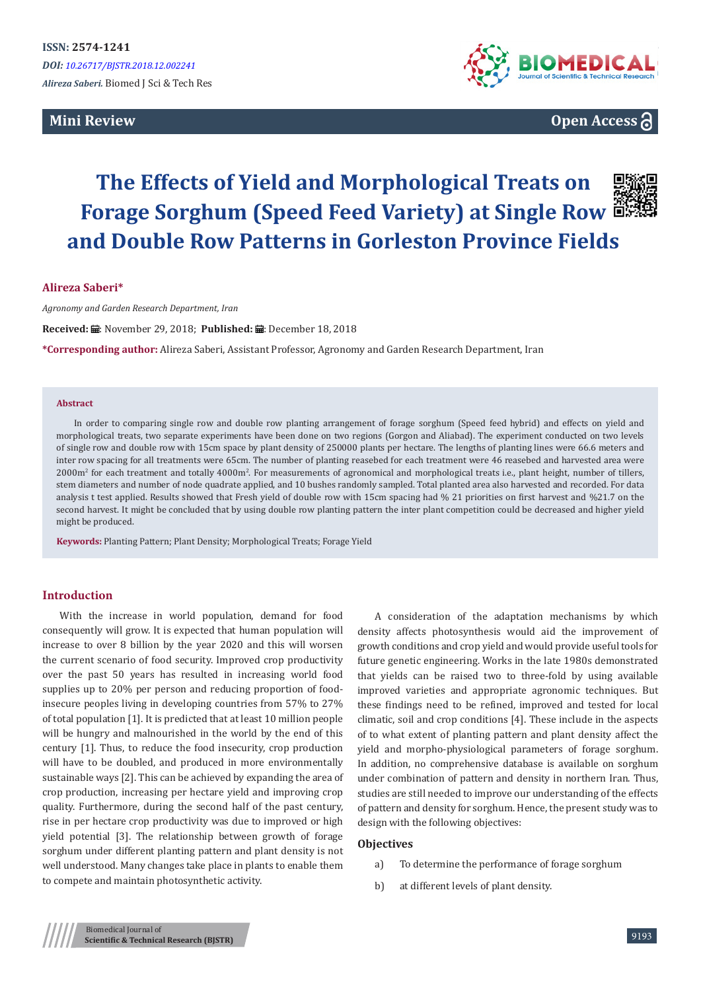# **Mini Review**



**Open Access**

# **The Effects of Yield and Morphological Treats on Forage Sorghum (Speed Feed Variety) at Single Row and Double Row Patterns in Gorleston Province Fields**

#### **Alireza Saberi\***

*Agronomy and Garden Research Department, Iran*

Received: **iii**: November 29, 2018; Published: iii: December 18, 2018

**\*Corresponding author:** Alireza Saberi, Assistant Professor, Agronomy and Garden Research Department, Iran

#### **Abstract**

In order to comparing single row and double row planting arrangement of forage sorghum (Speed feed hybrid) and effects on yield and morphological treats, two separate experiments have been done on two regions (Gorgon and Aliabad). The experiment conducted on two levels of single row and double row with 15cm space by plant density of 250000 plants per hectare. The lengths of planting lines were 66.6 meters and inter row spacing for all treatments were 65cm. The number of planting reasebed for each treatment were 46 reasebed and harvested area were 2000m<sup>2</sup> for each treatment and totally 4000m<sup>2</sup>. For measurements of agronomical and morphological treats i.e., plant height, number of tillers, stem diameters and number of node quadrate applied, and 10 bushes randomly sampled. Total planted area also harvested and recorded. For data analysis t test applied. Results showed that Fresh yield of double row with 15cm spacing had % 21 priorities on first harvest and %21.7 on the second harvest. It might be concluded that by using double row planting pattern the inter plant competition could be decreased and higher yield might be produced.

**Keywords:** Planting Pattern; Plant Density; Morphological Treats; Forage Yield

#### **Introduction**

With the increase in world population, demand for food consequently will grow. It is expected that human population will increase to over 8 billion by the year 2020 and this will worsen the current scenario of food security. Improved crop productivity over the past 50 years has resulted in increasing world food supplies up to 20% per person and reducing proportion of foodinsecure peoples living in developing countries from 57% to 27% of total population [1]. It is predicted that at least 10 million people will be hungry and malnourished in the world by the end of this century [1]. Thus, to reduce the food insecurity, crop production will have to be doubled, and produced in more environmentally sustainable ways [2]. This can be achieved by expanding the area of crop production, increasing per hectare yield and improving crop quality. Furthermore, during the second half of the past century, rise in per hectare crop productivity was due to improved or high yield potential [3]. The relationship between growth of forage sorghum under different planting pattern and plant density is not well understood. Many changes take place in plants to enable them to compete and maintain photosynthetic activity.

A consideration of the adaptation mechanisms by which density affects photosynthesis would aid the improvement of growth conditions and crop yield and would provide useful tools for future genetic engineering. Works in the late 1980s demonstrated that yields can be raised two to three-fold by using available improved varieties and appropriate agronomic techniques. But these findings need to be refined, improved and tested for local climatic, soil and crop conditions [4]. These include in the aspects of to what extent of planting pattern and plant density affect the yield and morpho-physiological parameters of forage sorghum. In addition, no comprehensive database is available on sorghum under combination of pattern and density in northern Iran. Thus, studies are still needed to improve our understanding of the effects of pattern and density for sorghum. Hence, the present study was to design with the following objectives:

#### **Objectives**

- a) To determine the performance of forage sorghum
- b) at different levels of plant density.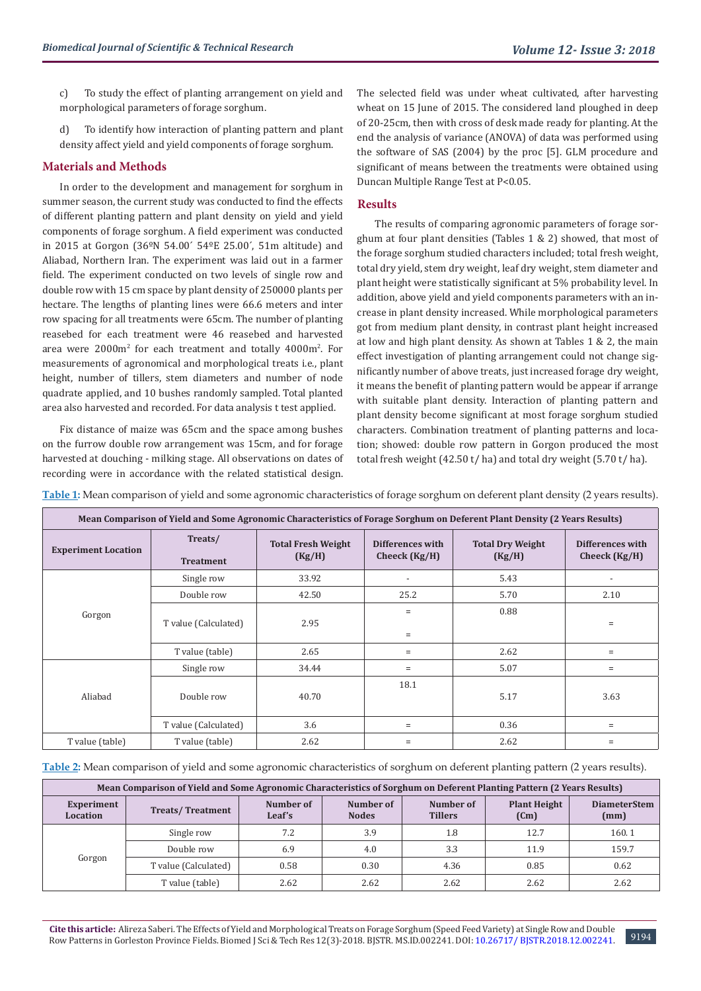c) To study the effect of planting arrangement on yield and morphological parameters of forage sorghum.

d) To identify how interaction of planting pattern and plant density affect yield and yield components of forage sorghum.

### **Materials and Methods**

In order to the development and management for sorghum in summer season, the current study was conducted to find the effects of different planting pattern and plant density on yield and yield components of forage sorghum. A field experiment was conducted in 2015 at Gorgon (36ºN 54.00´ 54ºE 25.00´, 51m altitude) and Aliabad, Northern Iran. The experiment was laid out in a farmer field. The experiment conducted on two levels of single row and double row with 15 cm space by plant density of 250000 plants per hectare. The lengths of planting lines were 66.6 meters and inter row spacing for all treatments were 65cm. The number of planting reasebed for each treatment were 46 reasebed and harvested area were 2000m2 for each treatment and totally 4000m2 . For measurements of agronomical and morphological treats i.e., plant height, number of tillers, stem diameters and number of node quadrate applied, and 10 bushes randomly sampled. Total planted area also harvested and recorded. For data analysis t test applied.

Fix distance of maize was 65cm and the space among bushes on the furrow double row arrangement was 15cm, and for forage harvested at douching - milking stage. All observations on dates of recording were in accordance with the related statistical design.

The selected field was under wheat cultivated, after harvesting wheat on 15 June of 2015. The considered land ploughed in deep of 20-25cm, then with cross of desk made ready for planting. At the end the analysis of variance (ANOVA) of data was performed using the software of SAS (2004) by the proc [5]. GLM procedure and significant of means between the treatments were obtained using Duncan Multiple Range Test at P<0.05.

#### **Results**

The results of comparing agronomic parameters of forage sorghum at four plant densities (Tables 1 & 2) showed, that most of the forage sorghum studied characters included; total fresh weight, total dry yield, stem dry weight, leaf dry weight, stem diameter and plant height were statistically significant at 5% probability level. In addition, above yield and yield components parameters with an increase in plant density increased. While morphological parameters got from medium plant density, in contrast plant height increased at low and high plant density. As shown at Tables 1 & 2, the main effect investigation of planting arrangement could not change significantly number of above treats, just increased forage dry weight, it means the benefit of planting pattern would be appear if arrange with suitable plant density. Interaction of planting pattern and plant density become significant at most forage sorghum studied characters. Combination treatment of planting patterns and location; showed: double row pattern in Gorgon produced the most total fresh weight (42.50 t/ ha) and total dry weight (5.70 t/ ha).

**Table 1:** Mean comparison of yield and some agronomic characteristics of forage sorghum on deferent plant density (2 years results).

| Mean Comparison of Yield and Some Agronomic Characteristics of Forage Sorghum on Deferent Plant Density (2 Years Results) |                             |                                     |                                     |                                   |                                     |  |  |
|---------------------------------------------------------------------------------------------------------------------------|-----------------------------|-------------------------------------|-------------------------------------|-----------------------------------|-------------------------------------|--|--|
| <b>Experiment Location</b>                                                                                                | Treats/<br><b>Treatment</b> | <b>Total Fresh Weight</b><br>(Kg/H) | Differences with<br>Cheeck $(Kg/H)$ | <b>Total Dry Weight</b><br>(Kg/H) | Differences with<br>Cheeck $(Kg/H)$ |  |  |
| Gorgon                                                                                                                    | Single row                  | 33.92                               | $\overline{\phantom{a}}$            | 5.43                              |                                     |  |  |
|                                                                                                                           | Double row                  | 42.50                               | 25.2                                | 5.70                              | 2.10                                |  |  |
|                                                                                                                           | T value (Calculated)        | 2.95                                | $=$<br>$=$                          | 0.88                              | $=$                                 |  |  |
|                                                                                                                           | T value (table)             | 2.65                                | $=$                                 | 2.62                              | Ξ                                   |  |  |
| Aliabad                                                                                                                   | Single row                  | 34.44                               | $=$                                 | 5.07                              | $=$                                 |  |  |
|                                                                                                                           | Double row                  | 40.70                               | 18.1                                | 5.17                              | 3.63                                |  |  |
|                                                                                                                           | T value (Calculated)        | 3.6                                 | $=$                                 | 0.36                              | Ξ                                   |  |  |
| T value (table)                                                                                                           | T value (table)             | 2.62                                | $=$                                 | 2.62                              | $=$                                 |  |  |

**Table 2:** Mean comparison of yield and some agronomic characteristics of sorghum on deferent planting pattern (2 years results).

| Mean Comparison of Yield and Some Agronomic Characteristics of Sorghum on Deferent Planting Pattern (2 Years Results) |                         |                     |                           |                             |                             |                             |  |
|-----------------------------------------------------------------------------------------------------------------------|-------------------------|---------------------|---------------------------|-----------------------------|-----------------------------|-----------------------------|--|
| Experiment<br>Location                                                                                                | <b>Treats/Treatment</b> | Number of<br>Leaf's | Number of<br><b>Nodes</b> | Number of<br><b>Tillers</b> | <b>Plant Height</b><br>(Cm) | <b>DiameterStem</b><br>(mm) |  |
| Gorgon                                                                                                                | Single row              | 7.2                 | 3.9                       | 1.8                         | 12.7                        | 160.1                       |  |
|                                                                                                                       | Double row              | 6.9                 | 4.0                       | 3.3                         | 11.9                        | 159.7                       |  |
|                                                                                                                       | T value (Calculated)    | 0.58                | 0.30                      | 4.36                        | 0.85                        | 0.62                        |  |
|                                                                                                                       | T value (table)         | 2.62                | 2.62                      | 2.62                        | 2.62                        | 2.62                        |  |

9194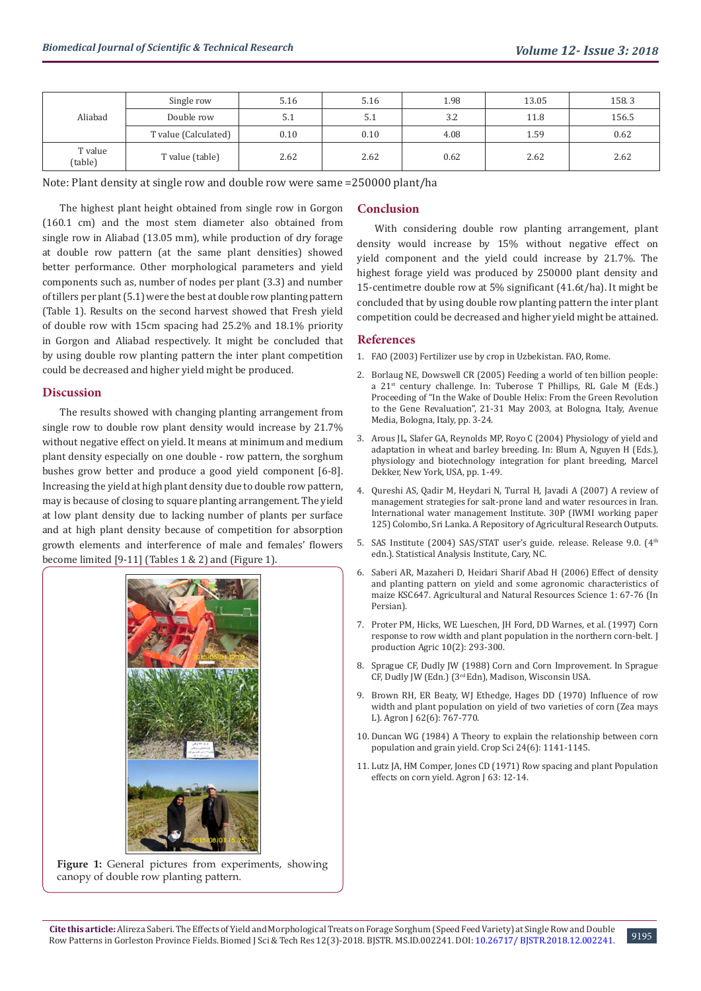| Aliabad            | Single row           | 5.16 | 5.16 | 1.98 | 13.05 | 158.3 |
|--------------------|----------------------|------|------|------|-------|-------|
|                    | Double row           | 5.1  | 5.1  | 3.2  | 11.8  | 156.5 |
|                    | T value (Calculated) | 0.10 | 0.10 | 4.08 | 1.59  | 0.62  |
| T value<br>(table) | T value (table)      | 2.62 | 2.62 | 0.62 | 2.62  | 2.62  |

Note: Plant density at single row and double row were same =250000 plant/ha

The highest plant height obtained from single row in Gorgon (160.1 cm) and the most stem diameter also obtained from single row in Aliabad (13.05 mm), while production of dry forage at double row pattern (at the same plant densities) showed better performance. Other morphological parameters and yield components such as, number of nodes per plant (3.3) and number of tillers per plant (5.1) were the best at double row planting pattern (Table 1). Results on the second harvest showed that Fresh yield of double row with 15cm spacing had 25.2% and 18.1% priority in Gorgon and Aliabad respectively. It might be concluded that by using double row planting pattern the inter plant competition could be decreased and higher yield might be produced.

#### **Discussion**

The results showed with changing planting arrangement from single row to double row plant density would increase by 21.7% without negative effect on yield. It means at minimum and medium plant density especially on one double - row pattern, the sorghum bushes grow better and produce a good yield component [6-8]. Increasing the yield at high plant density due to double row pattern, may is because of closing to square planting arrangement. The yield at low plant density due to lacking number of plants per surface and at high plant density because of competition for absorption growth elements and interference of male and females' flowers become limited [9-11] (Tables 1 & 2) and (Figure 1).



#### Figure 1: General pictures from experiments, showing canopy of double row planting pattern.

#### **Conclusion**

With considering double row planting arrangement, plant density would increase by 15% without negative effect on yield component and the yield could increase by 21.7%. The highest forage yield was produced by 250000 plant density and 15-centimetre double row at 5% significant (41.6t/ha). It might be concluded that by using double row planting pattern the inter plant competition could be decreased and higher yield might be attained.

#### **References**

- 1. [FAO \(2003\) Fertilizer use by crop in Uzbekistan. FAO, Rome.](http://www.fao.org/docrep/006/Y4711E/Y4711E00.HTM)
- 2. [Borlaug NE, Dowswell CR \(2005\) Feeding a world of ten billion people:](http://citeseerx.ist.psu.edu/viewdoc/download?doi=10.1.1.462.3105&rep=rep1&type=pdf) [a 21st century challenge. In: Tuberose T Phillips, RL Gale M \(Eds.\)](http://citeseerx.ist.psu.edu/viewdoc/download?doi=10.1.1.462.3105&rep=rep1&type=pdf) [Proceeding of "In the Wake of Double Helix: From the Green Revolution](http://citeseerx.ist.psu.edu/viewdoc/download?doi=10.1.1.462.3105&rep=rep1&type=pdf) [to the Gene Revaluation", 21-31 May 2003, at Bologna, Italy, Avenue](http://citeseerx.ist.psu.edu/viewdoc/download?doi=10.1.1.462.3105&rep=rep1&type=pdf) [Media, Bologna, Italy, pp. 3-24.](http://citeseerx.ist.psu.edu/viewdoc/download?doi=10.1.1.462.3105&rep=rep1&type=pdf)
- 3. Arous JL, Slafer GA, Reynolds MP, Royo C (2004) Physiology of yield and adaptation in wheat and barley breeding. In: Blum A, Nguyen H (Eds.), physiology and biotechnology integration for plant breeding, Marcel Dekker, New York, USA, pp. 1-49.
- 4. [Qureshi AS, Qadir M, Heydari N, Turral H, Javadi A \(2007\) A review of](https://cgspace.cgiar.org/handle/10568/39350) [management strategies for salt-prone land and water resources in Iran.](https://cgspace.cgiar.org/handle/10568/39350) [International water management Institute. 30P \(IWMI working paper](https://cgspace.cgiar.org/handle/10568/39350) [125\) Colombo, Sri Lanka. A Repository of Agricultural Research Outputs.](https://cgspace.cgiar.org/handle/10568/39350)
- 5. SAS Institute (2004) SAS/STAT user's guide. release. Release 9.0. (4th edn.). Statistical Analysis Institute, Cary, NC.
- 6. Saberi AR, Mazaheri D, Heidari Sharif Abad H (2006) Effect of density and planting pattern on yield and some agronomic characteristics of maize KSC647. Agricultural and Natural Resources Science 1: 67-76 (In Persian).
- 7. [Proter PM, Hicks, WE Lueschen, JH Ford, DD Warnes, et al. \(1997\) Corn](https://dl.sciencesocieties.org/publications/jpa/abstracts/10/2/293?access=0&view=pdf) [response to row width and plant population in the northern corn-belt. J](https://dl.sciencesocieties.org/publications/jpa/abstracts/10/2/293?access=0&view=pdf) [production Agric 10\(2\): 293-300.](https://dl.sciencesocieties.org/publications/jpa/abstracts/10/2/293?access=0&view=pdf)
- 8. [Sprague CF, Dudly JW \(1988\) Corn and Corn Improvement. In Sprague](http://agris.fao.org/agris-search/search.do?recordID=XF2016015495) [CF, Dudly JW \(Edn.\) \(3rd Edn\), Madison, Wisconsin USA.](http://agris.fao.org/agris-search/search.do?recordID=XF2016015495)
- 9. [Brown RH, ER Beaty, WJ Ethedge, Hages DD \(1970\) Influence of row](https://dl.sciencesocieties.org/publications/aj/abstracts/62/6/AJ0620060767?access=0&view=pdf) [width and plant population on yield of two varieties of corn \(Zea mays](https://dl.sciencesocieties.org/publications/aj/abstracts/62/6/AJ0620060767?access=0&view=pdf) [L\). Agron J 62\(6\): 767-770.](https://dl.sciencesocieties.org/publications/aj/abstracts/62/6/AJ0620060767?access=0&view=pdf)
- 10. [Duncan WG \(1984\) A Theory to explain the relationship between corn](https://dl.sciencesocieties.org/publications/cs/abstracts/24/6/CS0240061141) [population and grain yield. Crop Sci 24\(6\): 1141-1145.](https://dl.sciencesocieties.org/publications/cs/abstracts/24/6/CS0240061141)
- 11. Lutz JA, HM Comper, Jones CD (1971) Row spacing and plant Population effects on corn yield. Agron J 63: 12-14.